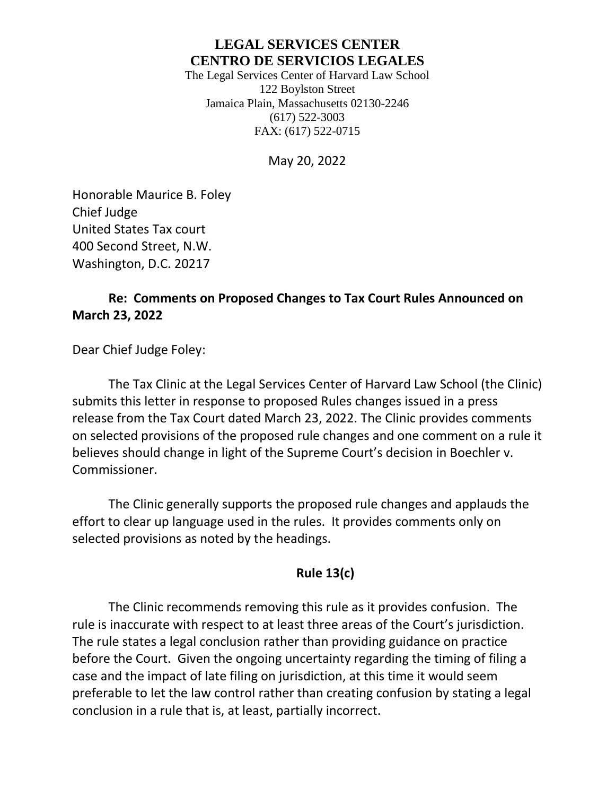# **LEGAL SERVICES CENTER CENTRO DE SERVICIOS LEGALES**

The Legal Services Center of Harvard Law School 122 Boylston Street Jamaica Plain, Massachusetts 02130-2246 (617) 522-3003 FAX: (617) 522-0715

May 20, 2022

Honorable Maurice B. Foley Chief Judge United States Tax court 400 Second Street, N.W. Washington, D.C. 20217

# **Re: Comments on Proposed Changes to Tax Court Rules Announced on March 23, 2022**

Dear Chief Judge Foley:

The Tax Clinic at the Legal Services Center of Harvard Law School (the Clinic) submits this letter in response to proposed Rules changes issued in a press release from the Tax Court dated March 23, 2022. The Clinic provides comments on selected provisions of the proposed rule changes and one comment on a rule it believes should change in light of the Supreme Court's decision in Boechler v. Commissioner.

The Clinic generally supports the proposed rule changes and applauds the effort to clear up language used in the rules. It provides comments only on selected provisions as noted by the headings.

## **Rule 13(c)**

The Clinic recommends removing this rule as it provides confusion. The rule is inaccurate with respect to at least three areas of the Court's jurisdiction. The rule states a legal conclusion rather than providing guidance on practice before the Court. Given the ongoing uncertainty regarding the timing of filing a case and the impact of late filing on jurisdiction, at this time it would seem preferable to let the law control rather than creating confusion by stating a legal conclusion in a rule that is, at least, partially incorrect.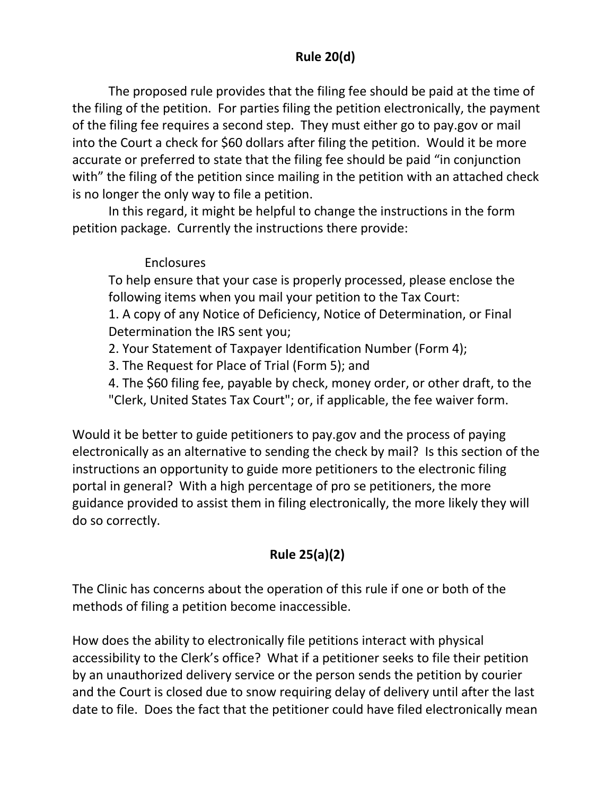# **Rule 20(d)**

The proposed rule provides that the filing fee should be paid at the time of the filing of the petition. For parties filing the petition electronically, the payment of the filing fee requires a second step. They must either go to pay.gov or mail into the Court a check for \$60 dollars after filing the petition. Would it be more accurate or preferred to state that the filing fee should be paid "in conjunction with" the filing of the petition since mailing in the petition with an attached check is no longer the only way to file a petition.

In this regard, it might be helpful to change the instructions in the form petition package. Currently the instructions there provide:

## Enclosures

To help ensure that your case is properly processed, please enclose the following items when you mail your petition to the Tax Court:

1. A copy of any Notice of Deficiency, Notice of Determination, or Final Determination the IRS sent you;

2. Your Statement of Taxpayer Identification Number (Form 4);

3. The Request for Place of Trial (Form 5); and

4. The \$60 filing fee, payable by check, money order, or other draft, to the "Clerk, United States Tax Court"; or, if applicable, the fee waiver form.

Would it be better to guide petitioners to pay.gov and the process of paying electronically as an alternative to sending the check by mail? Is this section of the instructions an opportunity to guide more petitioners to the electronic filing portal in general? With a high percentage of pro se petitioners, the more guidance provided to assist them in filing electronically, the more likely they will do so correctly.

# **Rule 25(a)(2)**

The Clinic has concerns about the operation of this rule if one or both of the methods of filing a petition become inaccessible.

How does the ability to electronically file petitions interact with physical accessibility to the Clerk's office? What if a petitioner seeks to file their petition by an unauthorized delivery service or the person sends the petition by courier and the Court is closed due to snow requiring delay of delivery until after the last date to file. Does the fact that the petitioner could have filed electronically mean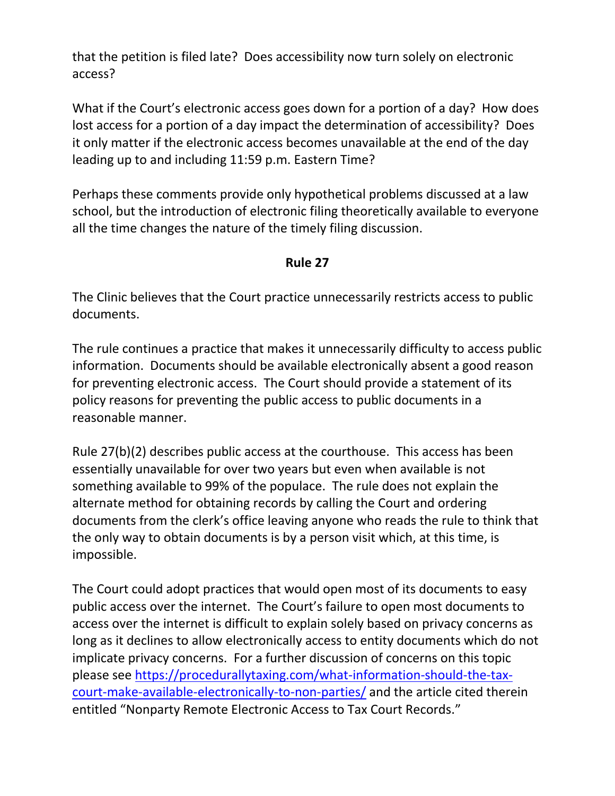that the petition is filed late? Does accessibility now turn solely on electronic access?

What if the Court's electronic access goes down for a portion of a day? How does lost access for a portion of a day impact the determination of accessibility? Does it only matter if the electronic access becomes unavailable at the end of the day leading up to and including 11:59 p.m. Eastern Time?

Perhaps these comments provide only hypothetical problems discussed at a law school, but the introduction of electronic filing theoretically available to everyone all the time changes the nature of the timely filing discussion.

#### **Rule 27**

The Clinic believes that the Court practice unnecessarily restricts access to public documents.

The rule continues a practice that makes it unnecessarily difficulty to access public information. Documents should be available electronically absent a good reason for preventing electronic access. The Court should provide a statement of its policy reasons for preventing the public access to public documents in a reasonable manner.

Rule 27(b)(2) describes public access at the courthouse. This access has been essentially unavailable for over two years but even when available is not something available to 99% of the populace. The rule does not explain the alternate method for obtaining records by calling the Court and ordering documents from the clerk's office leaving anyone who reads the rule to think that the only way to obtain documents is by a person visit which, at this time, is impossible.

The Court could adopt practices that would open most of its documents to easy public access over the internet. The Court's failure to open most documents to access over the internet is difficult to explain solely based on privacy concerns as long as it declines to allow electronically access to entity documents which do not implicate privacy concerns. For a further discussion of concerns on this topic please see [https://procedurallytaxing.com/what-information-should-the-tax](https://procedurallytaxing.com/what-information-should-the-tax-court-make-available-electronically-to-non-parties/)[court-make-available-electronically-to-non-parties/](https://procedurallytaxing.com/what-information-should-the-tax-court-make-available-electronically-to-non-parties/) and the article cited therein entitled "Nonparty Remote Electronic Access to Tax Court Records."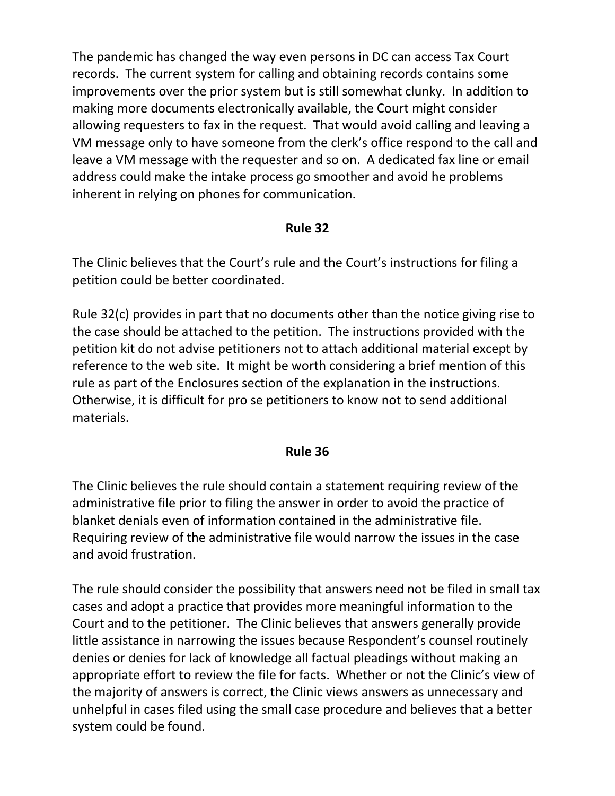The pandemic has changed the way even persons in DC can access Tax Court records. The current system for calling and obtaining records contains some improvements over the prior system but is still somewhat clunky. In addition to making more documents electronically available, the Court might consider allowing requesters to fax in the request. That would avoid calling and leaving a VM message only to have someone from the clerk's office respond to the call and leave a VM message with the requester and so on. A dedicated fax line or email address could make the intake process go smoother and avoid he problems inherent in relying on phones for communication.

#### **Rule 32**

The Clinic believes that the Court's rule and the Court's instructions for filing a petition could be better coordinated.

Rule 32(c) provides in part that no documents other than the notice giving rise to the case should be attached to the petition. The instructions provided with the petition kit do not advise petitioners not to attach additional material except by reference to the web site. It might be worth considering a brief mention of this rule as part of the Enclosures section of the explanation in the instructions. Otherwise, it is difficult for pro se petitioners to know not to send additional materials.

## **Rule 36**

The Clinic believes the rule should contain a statement requiring review of the administrative file prior to filing the answer in order to avoid the practice of blanket denials even of information contained in the administrative file. Requiring review of the administrative file would narrow the issues in the case and avoid frustration.

The rule should consider the possibility that answers need not be filed in small tax cases and adopt a practice that provides more meaningful information to the Court and to the petitioner. The Clinic believes that answers generally provide little assistance in narrowing the issues because Respondent's counsel routinely denies or denies for lack of knowledge all factual pleadings without making an appropriate effort to review the file for facts. Whether or not the Clinic's view of the majority of answers is correct, the Clinic views answers as unnecessary and unhelpful in cases filed using the small case procedure and believes that a better system could be found.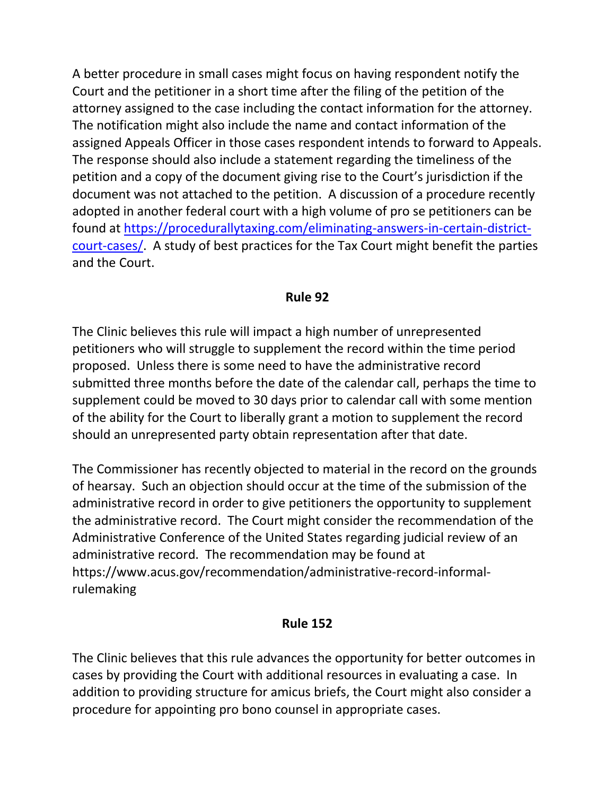A better procedure in small cases might focus on having respondent notify the Court and the petitioner in a short time after the filing of the petition of the attorney assigned to the case including the contact information for the attorney. The notification might also include the name and contact information of the assigned Appeals Officer in those cases respondent intends to forward to Appeals. The response should also include a statement regarding the timeliness of the petition and a copy of the document giving rise to the Court's jurisdiction if the document was not attached to the petition. A discussion of a procedure recently adopted in another federal court with a high volume of pro se petitioners can be found at [https://procedurallytaxing.com/eliminating-answers-in-certain-district](https://procedurallytaxing.com/eliminating-answers-in-certain-district-court-cases/)[court-cases/.](https://procedurallytaxing.com/eliminating-answers-in-certain-district-court-cases/) A study of best practices for the Tax Court might benefit the parties and the Court.

## **Rule 92**

The Clinic believes this rule will impact a high number of unrepresented petitioners who will struggle to supplement the record within the time period proposed. Unless there is some need to have the administrative record submitted three months before the date of the calendar call, perhaps the time to supplement could be moved to 30 days prior to calendar call with some mention of the ability for the Court to liberally grant a motion to supplement the record should an unrepresented party obtain representation after that date.

The Commissioner has recently objected to material in the record on the grounds of hearsay. Such an objection should occur at the time of the submission of the administrative record in order to give petitioners the opportunity to supplement the administrative record. The Court might consider the recommendation of the Administrative Conference of the United States regarding judicial review of an administrative record. The recommendation may be found at https://www.acus.gov/recommendation/administrative-record-informalrulemaking

## **Rule 152**

The Clinic believes that this rule advances the opportunity for better outcomes in cases by providing the Court with additional resources in evaluating a case. In addition to providing structure for amicus briefs, the Court might also consider a procedure for appointing pro bono counsel in appropriate cases.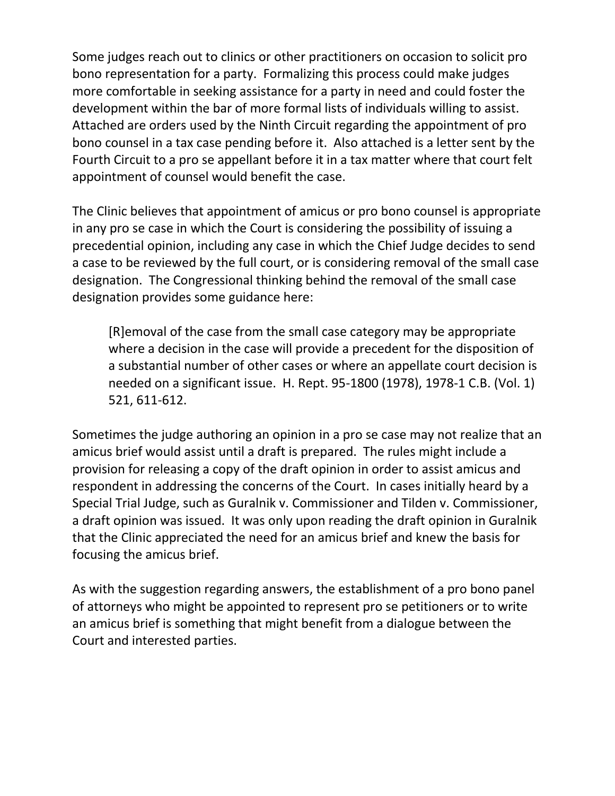Some judges reach out to clinics or other practitioners on occasion to solicit pro bono representation for a party. Formalizing this process could make judges more comfortable in seeking assistance for a party in need and could foster the development within the bar of more formal lists of individuals willing to assist. Attached are orders used by the Ninth Circuit regarding the appointment of pro bono counsel in a tax case pending before it. Also attached is a letter sent by the Fourth Circuit to a pro se appellant before it in a tax matter where that court felt appointment of counsel would benefit the case.

The Clinic believes that appointment of amicus or pro bono counsel is appropriate in any pro se case in which the Court is considering the possibility of issuing a precedential opinion, including any case in which the Chief Judge decides to send a case to be reviewed by the full court, or is considering removal of the small case designation. The Congressional thinking behind the removal of the small case designation provides some guidance here:

[R]emoval of the case from the small case category may be appropriate where a decision in the case will provide a precedent for the disposition of a substantial number of other cases or where an appellate court decision is needed on a significant issue. H. Rept. 95-1800 (1978), 1978-1 C.B. (Vol. 1) 521, 611-612.

Sometimes the judge authoring an opinion in a pro se case may not realize that an amicus brief would assist until a draft is prepared. The rules might include a provision for releasing a copy of the draft opinion in order to assist amicus and respondent in addressing the concerns of the Court. In cases initially heard by a Special Trial Judge, such as Guralnik v. Commissioner and Tilden v. Commissioner, a draft opinion was issued. It was only upon reading the draft opinion in Guralnik that the Clinic appreciated the need for an amicus brief and knew the basis for focusing the amicus brief.

As with the suggestion regarding answers, the establishment of a pro bono panel of attorneys who might be appointed to represent pro se petitioners or to write an amicus brief is something that might benefit from a dialogue between the Court and interested parties.